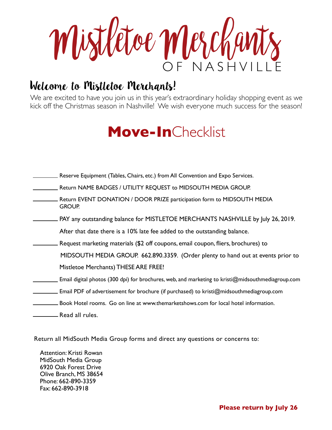OF NASHV Mistletoe Merchants

# Welcome to Mistletoe Merchants!

Welcome to Mistletoe Merchants!<br>We are excited to have you join us in this year's extraordinary holiday shopping event as we kick off the Christmas season in Nashville! We wish everyone much success for the season!

# **Move-In**Checklist

| Reserve Equipment (Tables, Chairs, etc.) from All Convention and Expo Services.                   |
|---------------------------------------------------------------------------------------------------|
| Return NAME BADGES / UTILITY REQUEST to MIDSOUTH MEDIA GROUP.                                     |
| Return EVENT DONATION / DOOR PRIZE participation form to MIDSOUTH MEDIA<br><b>GROUP.</b>          |
| PAY any outstanding balance for MISTLETOE MERCHANTS NASHVILLE by July 26, 2019.                   |
| After that date there is a 10% late fee added to the outstanding balance.                         |
| Request marketing materials (\$2 off coupons, email coupon, fliers, brochures) to                 |
| MIDSOUTH MEDIA GROUP. 662.890.3359. (Order plenty to hand out at events prior to                  |
| Mistletoe Merchants) THESE ARE FREE!                                                              |
| Email digital photos (300 dpi) for brochures, web, and marketing to kristi@midsouthmediagroup.com |
| Email PDF of advertisement for brochure (if purchased) to kristi@midsouthmediagroup.com           |
| Book Hotel rooms. Go on line at www.themarketshows.com for local hotel information.               |
| Read all rules.                                                                                   |

Return all MidSouth Media Group forms and direct any questions or concerns to:

Attention: Kristi Rowan MidSouth Media Group 6920 Oak Forest Drive Olive Branch, MS 38654 Phone: 662-890-3359 Fax: 662-890-3918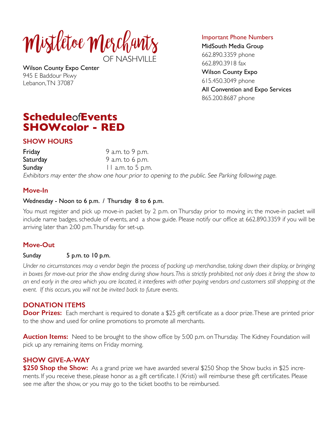

Wilson County Expo Center 945 E Baddour Pkwy Lebanon, TN 37087

Important Phone Numbers

MidSouth Media Group 662.890.3359 phone 662.890.3918 fax Wilson County Expo 615.450.3049 phone All Convention and Expo Services 865.200.8687 phone

## **Schedule**of**Events SHOWcolor - RED**

### **SHOW HOURS**

Friday 9 a.m. to 9 p.m. Saturday 9 a.m. to 6 p.m. Sunday 11 a.m. to 5 p.m. Exhibitors may enter the show one hour prior to opening to the public. See Parking following page.

### **Move-In**

### Wednesday - Noon to 6 p.m. / Thursday 8 to 6 p.m.

You must register and pick up move-in packet by 2 p.m. on Thursday prior to moving in; the move-in packet will include name badges, schedule of events, and a show guide. Please notify our office at 662.890.3359 if you will be arriving later than 2:00 p.m. Thursday for set-up.

### **Move-Out**

### Sunday 5 p.m. to 10 p.m.

*Under no circumstances may a vendor begin the process of packing up merchandise, taking down their display, or bringing*  in boxes for move-out prior the show ending during show hours. This is strictly prohibited, not only does it bring the show to *an end early in the area which you are located, it interferes with other paying vendors and customers still shopping at the event. If this occurs, you will not be invited back to future events.* 

### **DONATION ITEMS**

**Door Prizes:** Each merchant is required to donate a \$25 gift certificate as a door prize. These are printed prior to the show and used for online promotions to promote all merchants.

**Auction Items:** Need to be brought to the show office by 5:00 p.m. on Thursday. The Kidney Foundation will pick up any remaining items on Friday morning.

### **SHOW GIVE-A-WAY**

**\$250 Shop the Show:** As a grand prize we have awarded several \$250 Shop the Show bucks in \$25 increments. If you receive these, please honor as a gift certificate. I (Kristi) will reimburse these gift certificates. Please see me after the show, or you may go to the ticket booths to be reimbursed.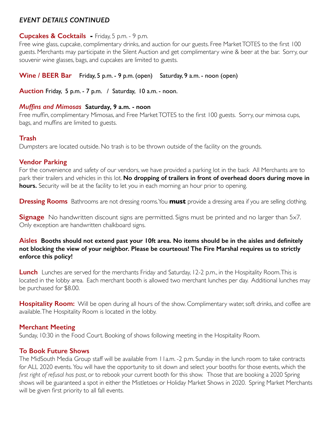### *EVENT DETAILS CONTINUED*

### **Cupcakes & Cocktails -** Friday, 5 p.m. - 9 p.m.

Free wine glass, cupcake, complimentary drinks, and auction for our guests. Free Market TOTES to the first 100 guests. Merchants may participate in the Silent Auction and get complimentary wine & beer at the bar. Sorry, our souvenir wine glasses, bags, and cupcakes are limited to guests.

**Wine / BEER Bar** Friday, 5 p.m. - 9 p.m. (open) Saturday, 9 a.m. - noon (open)

**Auction** Friday, 5 p.m. - 7 p.m. / Saturday, 10 a.m. - noon.

### *Muffins and Mimosas* **Saturday, 9 a.m. - noon**

Free muffin, complimentary Mimosas, and Free Market TOTES to the first 100 guests. Sorry, our mimosa cups, bags, and muffins are limited to guests.

### **Trash**

Dumpsters are located outside. No trash is to be thrown outside of the facility on the grounds.

### **Vendor Parking**

For the convenience and safety of our vendors, we have provided a parking lot in the back All Merchants are to park their trailers and vehicles in this lot. **No dropping of trailers in front of overhead doors during move in hours.** Security will be at the facility to let you in each morning an hour prior to opening.

**Dressing Rooms** Bathrooms are not dressing rooms. You **must** provide a dressing area if you are selling clothing.

**Signage** No handwritten discount signs are permitted. Signs must be printed and no larger than 5x7. Only exception are handwritten chalkboard signs.

### **Aisles Booths should not extend past your 10ft area. No items should be in the aisles and definitely not blocking the view of your neighbor. Please be courteous! The Fire Marshal requires us to strictly enforce this policy!**

**Lunch** Lunches are served for the merchants Friday and Saturday, 12-2 p.m., in the Hospitality Room. This is located in the lobby area. Each merchant booth is allowed two merchant lunches per day. Additional lunches may be purchased for \$8.00.

**Hospitality Room:** Will be open during all hours of the show. Complimentary water, soft drinks, and coffee are available. The Hospitality Room is located in the lobby.

### **Merchant Meeting**

Sunday, 10:30 in the Food Court. Booking of shows following meeting in the Hospitality Room.

### **To Book Future Shows**

The MidSouth Media Group staff will be available from 11a.m. -2 p.m. Sunday in the lunch room to take contracts for ALL 2020 events. You will have the opportunity to sit down and select your booths for those events, which the *first right of refusal has past*, or to rebook your current booth for this show. Those that are booking a 2020 Spring shows will be guaranteed a spot in either the Mistletoes or Holiday Market Shows in 2020. Spring Market Merchants will be given first priority to all fall events.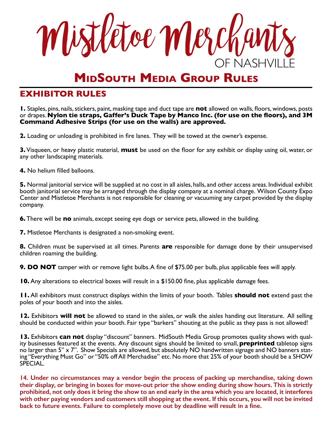Mistletoe Merchants F NASH<sup>V</sup>

# **MidSouth Media Group Rules**

### **EXHIBITOR RULES**

**1.** Staples, pins, nails, stickers, paint, masking tape and duct tape are **not** allowed on walls, floors, windows, posts or drapes. **Nylon tie straps, Gaffer's Duck Tape by Manco Inc. (for use on the floors), and 3M Command Adhesive Strips (for use on the walls) are approved.** 

**2.** Loading or unloading is prohibited in fire lanes. They will be towed at the owner's expense.

**3.** Visqueen, or heavy plastic material, **must** be used on the floor for any exhibit or display using oil, water, or any other landscaping materials.

**4.** No helium filled balloons.

**5.** Normal janitorial service will be supplied at no cost in all aisles, halls, and other access areas. Individual exhibit booth janitorial service may be arranged through the display company at a nominal charge. Wilson County Expo Center and Mistletoe Merchants is not responsible for cleaning or vacuuming any carpet provided by the display company.

**6.** There will be **no** animals, except seeing eye dogs or service pets, allowed in the building.

**7.** Mistletoe Merchants is designated a non-smoking event.

**8.** Children must be supervised at all times. Parents **are** responsible for damage done by their unsupervised children roaming the building.

**9. DO NOT** tamper with or remove light bulbs. A fine of \$75.00 per bulb, plus applicable fees will apply.

**10.** Any alterations to electrical boxes will result in a \$150.00 fine, plus applicable damage fees.

**11.** All exhibitors must construct displays within the limits of your booth. Tables **should not** extend past the poles of your booth and into the aisles.

**12.** Exhibitors **will not** be allowed to stand in the aisles, or walk the aisles handing out literature. All selling should be conducted within your booth. Fair type "barkers" shouting at the public as they pass is not allowed!

**13.** Exhibitors **can not** display "discount" banners. MidSouth Media Group promotes quality shows with quality businesses featured at the events. Any discount signs should be limited to small, **preprinted** tabletop signs  $\overline{\rm n}$ o larger than 5" x 7". Show Specials are allowed, but absolutely NO handwritten signage and NO banners stating "Everything Must Go" or "50% off All Merchadise" etc. No more that 25% of your booth should be a SHOW SPECIAL.

**14. Under no circumstances may a vendor begin the process of packing up merchandise, taking down their display, or bringing in boxes for move-out prior the show ending during show hours. This is strictly prohibited, not only does it bring the show to an end early in the area which you are located, it interferes with other paying vendors and customers still shopping at the event. If this occurs, you will not be invited back to future events. Failure to completely move out by deadline will result in a fine.**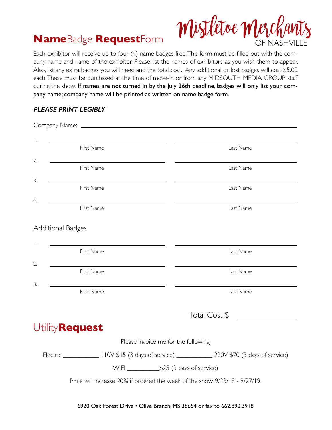

# **Name**Badge **Request**Form

Each exhibitor will receive up to four (4) name badges free. This form must be filled out with the company name and name of the exhibitor. Please list the names of exhibitors as you wish them to appear. Also, list any extra badges you will need and the total cost. Any additional or lost badges will cost \$5.00 each. These must be purchased at the time of move-in or from any MIDSOUTH MEDIA GROUP staff during the show. If names are not turned in by the July 26th deadline, badges will only list your company name; company name will be printed as written on name badge form.

### **PLEASE PRINT LEGIBLY**

| $\mathbf{I}$ .<br><u> 1989 - Johann Barbara, martin amerikan basar dan berasal dalam basa dalam basar dalam basar dalam basar dala</u><br>First Name | Last Name     |
|------------------------------------------------------------------------------------------------------------------------------------------------------|---------------|
| 2.                                                                                                                                                   |               |
| First Name                                                                                                                                           | Last Name     |
| 3.                                                                                                                                                   |               |
| First Name                                                                                                                                           | Last Name     |
| 4.                                                                                                                                                   |               |
| First Name                                                                                                                                           | Last Name     |
| <b>Additional Badges</b>                                                                                                                             |               |
|                                                                                                                                                      |               |
| $\mathsf{L}$<br>First Name                                                                                                                           | Last Name     |
|                                                                                                                                                      |               |
| 2.<br>First Name                                                                                                                                     | Last Name     |
| 3.                                                                                                                                                   |               |
| First Name                                                                                                                                           | Last Name     |
|                                                                                                                                                      |               |
|                                                                                                                                                      | Total Cost \$ |
| Utility <b>Request</b>                                                                                                                               |               |
| Please invoice me for the following:                                                                                                                 |               |
| Electric ____________________ 110V \$45 (3 days of service) ___________________ 220V \$70 (3 days of service)                                        |               |
|                                                                                                                                                      |               |
|                                                                                                                                                      |               |
| Price will increase 20% if ordered the week of the show. 9/23/19 - 9/27/19.                                                                          |               |
|                                                                                                                                                      |               |

6920 Oak Forest Drive • Olive Branch, MS 38654 or fax to 662.890.3918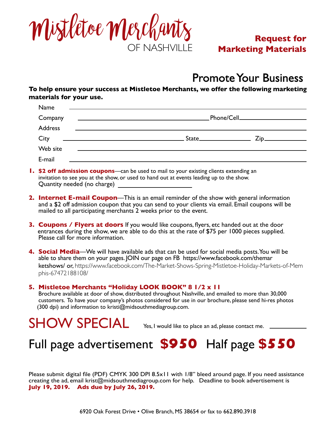

### **Request for Marketing Materials**

# Promote Your Business

**To help ensure your success at Mistletoe Merchants, we offer the following marketing materials for your use.**

| Name           | <u> 1989 - John Harry Harry Harry Harry Harry Harry Harry Harry Harry Harry Harry Harry Harry Harry Harry Harry H</u> |                                     |
|----------------|-----------------------------------------------------------------------------------------------------------------------|-------------------------------------|
| Company        | <u> 1980 - Andrea Stadt Britain, amerikansk politiker (</u>                                                           | _Phone/Cell________________________ |
| <b>Address</b> | <u> Alexandria (m. 1888)</u>                                                                                          |                                     |
| City           | <u> 1980 - Johann Stein, marwolaethau a bhann an t-Amhair an t-Amhair an t-Amhair an t-Amhair an t-Amhair an t-A</u>  | $State$ $Zip$                       |
| Web site       | <u> 1989 - Johann Stein, mars an deutscher Stein und der Stein und der Stein und der Stein und der Stein und der</u>  |                                     |
| E-mail         |                                                                                                                       |                                     |

- **1. \$2 off admission coupons**—can be used to mail to your existing clients extending an invitation to see you at the show, or used to hand out at events leading up to the show. Quantity needed (no charge)
- **2. Internet E-mail Coupon**—This is an email reminder of the show with general information and a \$2 off admission coupon that you can send to your clients via email. Email coupons will be mailed to all participating merchants 2 weeks prior to the event.
- **3. Coupons / Flyers at doors** If you would like coupons, flyers, etc handed out at the door entrances during the show, we are able to do this at the rate of \$75 per 1000 pieces supplied. Please call for more information.
- **4. Social Media**—We will have available ads that can be used for social media posts. You will be able to share them on your pages. JOIN our page on FB https://www.facebook.com/themar ketshows/ or, https://www.facebook.com/The-Market-Shows-Spring-Mistletoe-Holiday-Markets-of-Mem phis-67472188108/

#### **5. Mistletoe Merchants "Holiday LOOK BOOK" 8 1/2 x 11**

Brochure available at door of show, distributed throughout Nashville, and emailed to more than 30,000 customers. To have your company's photos considered for use in our brochure, please send hi-res photos (300 dpi) and information to kristi@midsouthmediagroup.com.

SHOW SPECIAL Yes, I would like to place an ad, please contact me.

# Full page advertisement **\$950** Half page **\$550**

Please submit digital file (PDF) CMYK 300 DPI 8.5x11 with 1/8" bleed around page. If you need assistance creating the ad, email krist@midsouthmediagroup.com for help. Deadline to book advertisement is **July 19, 2019. Ads due by July 26, 2019.**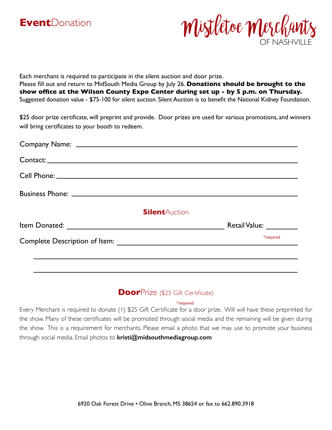



Each merchant is required to participate in the silent auction and door prize. Please fill out and return to MidSouth Media Group by July 26. **Donations should be brought to the show office at the Wilson County Expo Center during set up - by 5 p.m. on Thursday.**  Suggested donation value - \$75-100 for silent auction. Silent Auction is to benefit the National Kidney Foundation.

\$25 door prize certificate, will preprint and provide. Door prizes are used for various promotions, and winners will bring certificates to your booth to redeem.

| Contact:              |                         |
|-----------------------|-------------------------|
|                       |                         |
|                       |                         |
| <b>Silent</b> Auction |                         |
|                       | Retail Value: _________ |
|                       | *required               |

### **Door**Prize (\$25 Gift Certificate)

#### \*required

Every Merchant is required to donate (1) \$25 Gift Certificate for a door prize. Will will have these preprinted for the show. Many of these certificates will be promoted through social media and the remaining will be given during the show. This is a requirement for merchants. Please email a photo that we may use to promote your business through social media. Email photos to **kristi@midsouthmediagroup.com**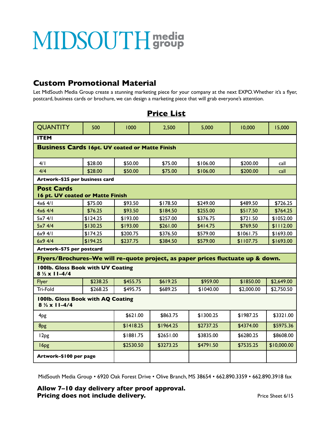# MIDSOUTH group

### **Custom Promotional Material**

Let MidSouth Media Group create a stunning marketing piece for your company at the next EXPO. Whether it's a flyer, postcard, business cards or brochure, we can design a marketing piece that will grab everyone's attention.

| <b>OUANTITY</b>                                                                 | 500      | 1000      | 2,500     | 5,000     | 10,000     | 15,000      |  |  |  |  |
|---------------------------------------------------------------------------------|----------|-----------|-----------|-----------|------------|-------------|--|--|--|--|
| <b>ITEM</b>                                                                     |          |           |           |           |            |             |  |  |  |  |
| <b>Business Cards 16pt. UV coated or Matte Finish</b>                           |          |           |           |           |            |             |  |  |  |  |
| 4/1                                                                             | \$28.00  | \$50.00   | \$75.00   | \$106.00  | \$200.00   | call        |  |  |  |  |
| 4/4                                                                             | \$28.00  | \$50.00   | \$75.00   | \$106.00  | \$200.00   | call        |  |  |  |  |
| Artwork-\$25 per business card                                                  |          |           |           |           |            |             |  |  |  |  |
| <b>Post Cards</b><br>16 pt. UV coated or Matte Finish                           |          |           |           |           |            |             |  |  |  |  |
| $4x6$ 4/1                                                                       | \$75.00  | \$93.50   | \$178.50  | \$249.00  | \$489.50   | \$726.25    |  |  |  |  |
| 4x64/4                                                                          | \$76.25  | \$93.50   | \$184.50  | \$255.00  | \$517.50   | \$764.25    |  |  |  |  |
| 5x74/1                                                                          | \$124.25 | \$193.00  | \$257.00  | \$376.75  | \$721.50   | \$1052.00   |  |  |  |  |
| 5x74/4                                                                          | \$130.25 | \$193.00  | \$261.00  | \$414.75  | \$769.50   | \$1112.00   |  |  |  |  |
| 6x94/1                                                                          | \$174.25 | \$200.75  | \$376.50  | \$579.00  | \$1061.75  | \$1693.00   |  |  |  |  |
| 6x94//4                                                                         | \$194.25 | \$237.75  | \$384.50  | \$579.00  | \$1107.75  | \$1693.00   |  |  |  |  |
| Artwork-\$75 per postcard                                                       |          |           |           |           |            |             |  |  |  |  |
| Flyers/Brochures-We will re-quote project, as paper prices fluctuate up & down. |          |           |           |           |            |             |  |  |  |  |
| 100lb. Gloss Book with UV Coating<br>$8\frac{1}{2} \times 11 - \frac{4}{4}$     |          |           |           |           |            |             |  |  |  |  |
| Flyer                                                                           | \$238.25 | \$455.75  | \$619.25  | \$959.00  | \$1850.00  | \$2,649.00  |  |  |  |  |
| Tri-Fold                                                                        | \$268.25 | \$495.75  | \$689.25  | \$1040.00 | \$2,000.00 | \$2,750.50  |  |  |  |  |
| 100lb. Gloss Book with AQ Coating<br>$8\frac{1}{2} \times 11 - 4/4$             |          |           |           |           |            |             |  |  |  |  |
| 4 <sub>pg</sub>                                                                 |          | \$621.00  | \$863.75  | \$1300.25 | \$1987.25  | \$3321.00   |  |  |  |  |
| 8 <sub>pg</sub>                                                                 |          | \$1418.25 | \$1964.25 | \$2737.25 | \$4374.00  | \$5975.36   |  |  |  |  |
| 12 <sub>pg</sub>                                                                |          | \$1881.75 | \$2651.00 | \$3835.00 | \$6280.25  | \$8608.00   |  |  |  |  |
| 16 <sub>pg</sub>                                                                |          | \$2530.50 | \$3273.25 | \$4791.50 | \$7535.25  | \$10,000.00 |  |  |  |  |
| Artwork-\$100 per page                                                          |          |           |           |           |            |             |  |  |  |  |

### **Price List**

MidSouth Media Group • 6920 Oak Forest Drive • Olive Branch, MS 38654 • 662.890.3359 • 662.890.3918 fax

**Allow 7–10 day delivery after proof approval. Pricing does not include delivery.** The state of the state of the Sheet 6/15